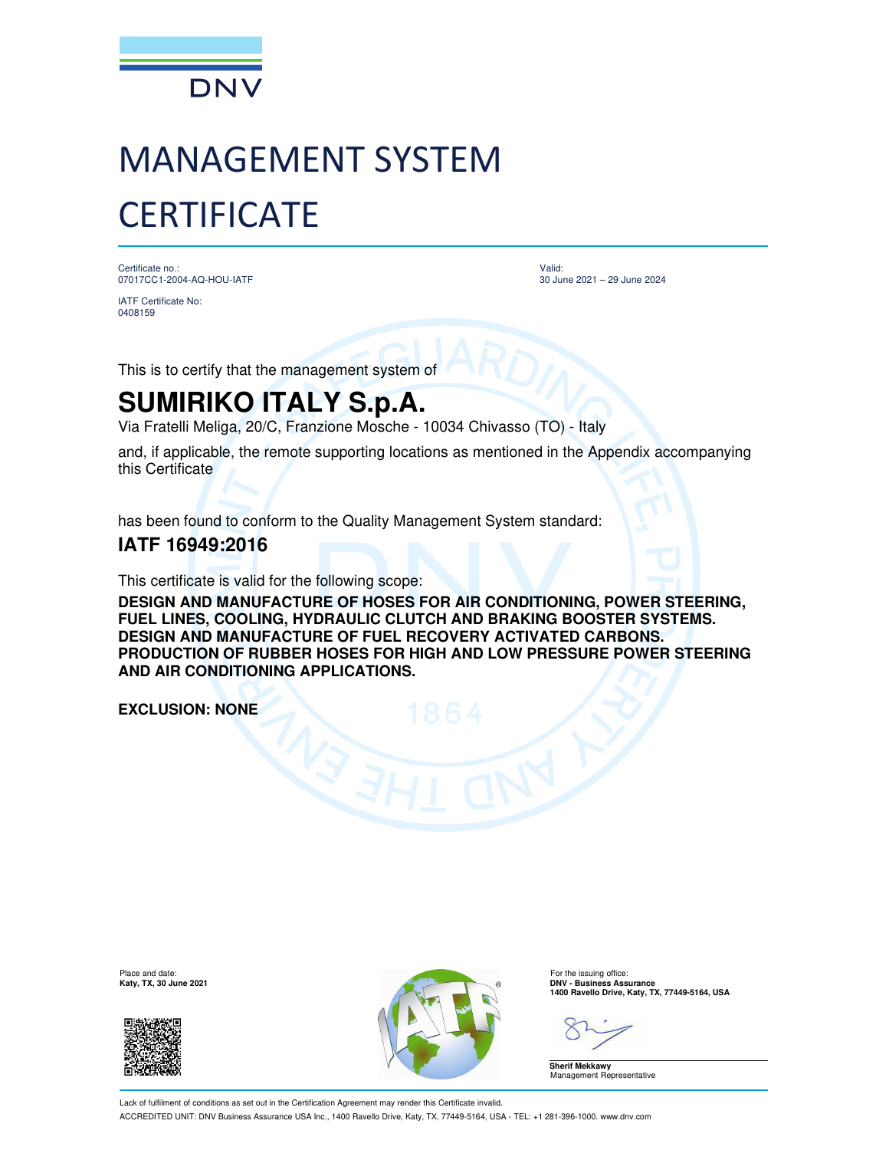

# MANAGEMENT SYSTEM **CERTIFICATE**

Certificate no.: 07017CC1-2004-AQ-HOU-IATF

IATF Certificate No: 0408159

Valid: 30 June 2021 – 29 June 2024

This is to certify that the management system of

## **SUMIRIKO ITALY S.p.A.**

Via Fratelli Meliga, 20/C, Franzione Mosche - 10034 Chivasso (TO) - Italy

and, if applicable, the remote supporting locations as mentioned in the Appendix accompanying this Certificate

has been found to conform to the Quality Management System standard:

### **IATF 16949:2016**

This certificate is valid for the following scope:

**DESIGN AND MANUFACTURE OF HOSES FOR AIR CONDITIONING, POWER STEERING, FUEL LINES, COOLING, HYDRAULIC CLUTCH AND BRAKING BOOSTER SYSTEMS. DESIGN AND MANUFACTURE OF FUEL RECOVERY ACTIVATED CARBONS. PRODUCTION OF RUBBER HOSES FOR HIGH AND LOW PRESSURE POWER STEERING AND AIR CONDITIONING APPLICATIONS.**

**EXCLUSION: NONE**

Place and date:<br>Katy, TX, 30 June 2021





For the issuing office:<br>**DNV - Business Assurance 1400 Ravello Drive, Katy, TX, 77449-5164, USA**

**Sherif Mekkawy** Management Representative